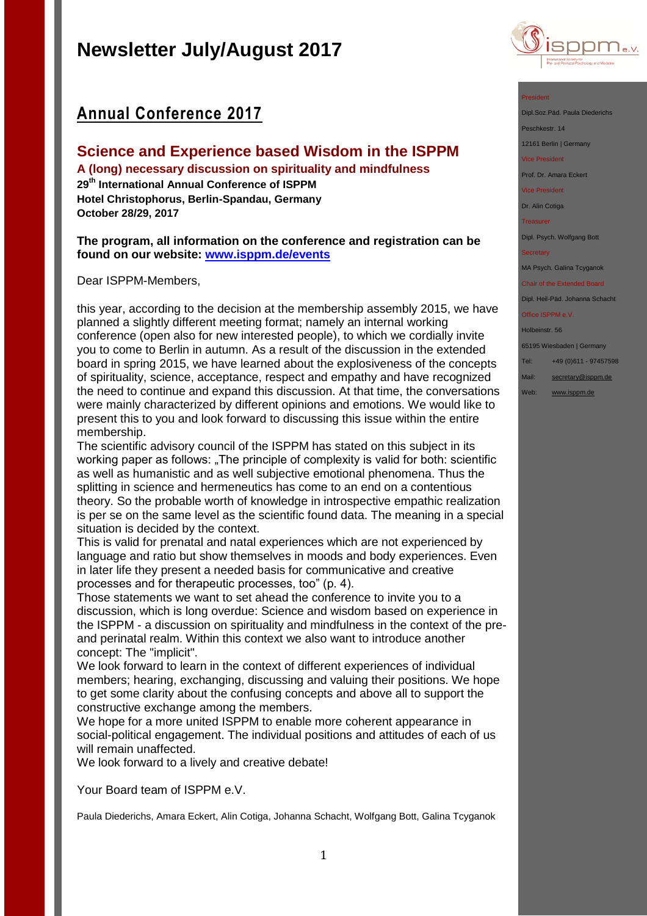## **Annual Conference 2017**

## **Science and Experience based Wisdom in the ISPPM**

**A (long) necessary discussion on spirituality and mindfulness 29th International Annual Conference of ISPPM Hotel Christophorus, Berlin-Spandau, Germany October 28/29, 2017**

**The program, all information on the conference and registration can be found on our website: [www.isppm.de/events](http://www.isppm.de/events/science-and-experience-based-wisdom-in-the-isppm-2/?lang=en)**

Dear ISPPM-Members,

this year, according to the decision at the membership assembly 2015, we have planned a slightly different meeting format; namely an internal working conference (open also for new interested people), to which we cordially invite you to come to Berlin in autumn. As a result of the discussion in the extended board in spring 2015, we have learned about the explosiveness of the concepts of spirituality, science, acceptance, respect and empathy and have recognized the need to continue and expand this discussion. At that time, the conversations were mainly characterized by different opinions and emotions. We would like to present this to you and look forward to discussing this issue within the entire membership.

The scientific advisory council of the ISPPM has stated on this subject in its working paper as follows: "The principle of complexity is valid for both: scientific as well as humanistic and as well subjective emotional phenomena. Thus the splitting in science and hermeneutics has come to an end on a contentious theory. So the probable worth of knowledge in introspective empathic realization is per se on the same level as the scientific found data. The meaning in a special situation is decided by the context.

This is valid for prenatal and natal experiences which are not experienced by language and ratio but show themselves in moods and body experiences. Even in later life they present a needed basis for communicative and creative processes and for therapeutic processes, too" (p. 4).

Those statements we want to set ahead the conference to invite you to a discussion, which is long overdue: Science and wisdom based on experience in the ISPPM - a discussion on spirituality and mindfulness in the context of the preand perinatal realm. Within this context we also want to introduce another concept: The "implicit".

We look forward to learn in the context of different experiences of individual members; hearing, exchanging, discussing and valuing their positions. We hope to get some clarity about the confusing concepts and above all to support the constructive exchange among the members.

We hope for a more united ISPPM to enable more coherent appearance in social-political engagement. The individual positions and attitudes of each of us will remain unaffected.

We look forward to a lively and creative debate!

Your Board team of ISPPM e.V.

Paula Diederichs, Amara Eckert, Alin Cotiga, Johanna Schacht, Wolfgang Bott, Galina Tcyganok



#### President

Dipl.Soz.Päd. Paula Diederichs

Peschkestr, 14

12161 Berlin | Germany

#### Vice President

Prof. Dr. Amara Eckert

Vice President

Dr. Alin Cotiga

Treasurer

Dipl. Psych. Wolfgang Bott

MA Psych. Galina Tcyganok

### Chair of the Extended Board

Dipl. Heil-Päd. Johanna Schacht

## Office ISPPM e.V.

Holbeinstr. 56

65195 Wiesbaden | Germany

- Tel: +49 (0)611 97457598
- Mail: [secretary@isppm.de](mailto:secretary@isppm.de)
- Web: [www.isppm.de](http://www.isppm.de/)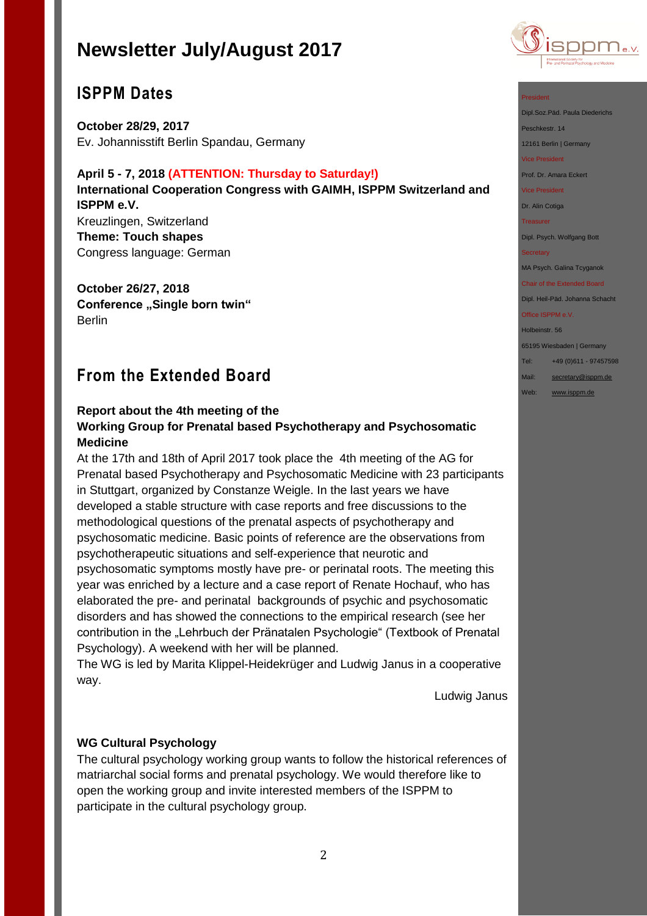

## **ISPPM Dates**

**October 28/29, 2017** Ev. Johannisstift Berlin Spandau, Germany

### **April 5 - 7, 2018 (ATTENTION: Thursday to Saturday!)**

**International Cooperation Congress with GAIMH, ISPPM Switzerland and ISPPM e.V.** Kreuzlingen, Switzerland **Theme: Touch shapes**

Congress language: German

**October 26/27, 2018 Conference ..Single born twin"** Berlin

## **From the Extended Board**

## **Report about the 4th meeting of the Working Group for Prenatal based Psychotherapy and Psychosomatic Medicine**

At the 17th and 18th of April 2017 took place the 4th meeting of the AG for Prenatal based Psychotherapy and Psychosomatic Medicine with 23 participants in Stuttgart, organized by Constanze Weigle. In the last years we have developed a stable structure with case reports and free discussions to the methodological questions of the prenatal aspects of psychotherapy and psychosomatic medicine. Basic points of reference are the observations from psychotherapeutic situations and self-experience that neurotic and psychosomatic symptoms mostly have pre- or perinatal roots. The meeting this year was enriched by a lecture and a case report of Renate Hochauf, who has elaborated the pre- and perinatal backgrounds of psychic and psychosomatic disorders and has showed the connections to the empirical research (see her contribution in the "Lehrbuch der Pränatalen Psychologie" (Textbook of Prenatal Psychology). A weekend with her will be planned.

The WG is led by Marita Klippel-Heidekrüger and Ludwig Janus in a cooperative way.

Ludwig Janus

## **WG Cultural Psychology**

The cultural psychology working group wants to follow the historical references of matriarchal social forms and prenatal psychology. We would therefore like to open the working group and invite interested members of the ISPPM to participate in the cultural psychology group.

#### President

Dipl.Soz.Päd. Paula Diederichs

Peschkestr. 14

12161 Berlin | Germany

Vice President

Prof. Dr. Amara Eckert

Vice President

Dr. Alin Cotiga

Treasurer

Dipl. Psych. Wolfgang Bott

#### **Secretary**

MA Psych. Galina Tcyganok

Chair of the Extended Board Dipl. Heil-Päd. Johanna Schacht

#### Office ISPPM e.V.

Holbeinstr. 56

65195 Wiesbaden | Germany

Tel: +49 (0)611 - 97457598

Mail: [secretary@isppm.de](mailto:secretary@isppm.de)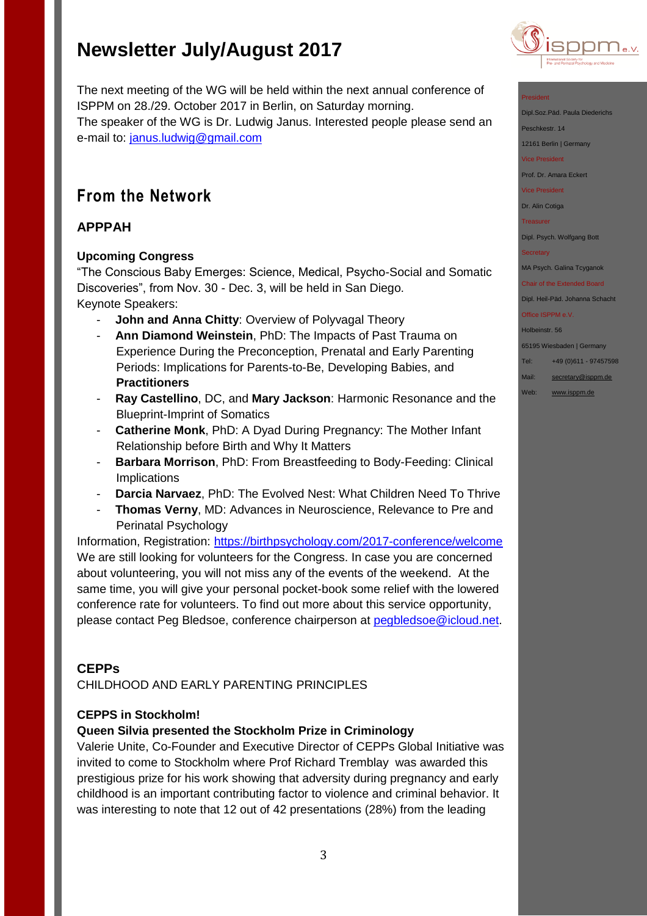

#### President

Dipl.Soz.Päd. Paula Diederichs

Peschkestr. 14

12161 Berlin | Germany

Vice President

Prof. Dr. Amara Eckert

Vice President

Dr. Alin Cotiga

**Treasurer** 

Dipl. Psych. Wolfgang Bott

MA Psych. Galina Tcyganok

Chair of the Extended Board Dipl. Heil-Päd. Johanna Schacht

Office ISPPM e.V.

Holbeinstr. 56

65195 Wiesbaden | Germany

- Tel: +49 (0)611 97457598
- Mail: [secretary@isppm.de](mailto:secretary@isppm.de)
- Web: [www.isppm.de](http://www.isppm.de/)

The next meeting of the WG will be held within the next annual conference of ISPPM on 28./29. October 2017 in Berlin, on Saturday morning. The speaker of the WG is Dr. Ludwig Janus. Interested people please send an e-mail to: [janus.ludwig@gmail.com](mailto:janus.ludwig@gmail.com)

## **From the Network**

## **APPPAH**

## **Upcoming Congress**

"The Conscious Baby Emerges: Science, Medical, Psycho-Social and Somatic Discoveries", from Nov. 30 - Dec. 3, will be held in San Diego. Keynote Speakers:

- **John and Anna Chitty: Overview of Polyvagal Theory**
- **Ann Diamond Weinstein**, PhD: The Impacts of Past Trauma on Experience During the Preconception, Prenatal and Early Parenting Periods: Implications for Parents-to-Be, Developing Babies, and **Practitioners**
- **Ray Castellino**, DC, and **Mary Jackson**: Harmonic Resonance and the Blueprint-Imprint of Somatics
- Catherine Monk, PhD: A Dyad During Pregnancy: The Mother Infant Relationship before Birth and Why It Matters
- **Barbara Morrison**, PhD: From Breastfeeding to Body-Feeding: Clinical **Implications**
- **Darcia Narvaez**, PhD: The Evolved Nest: What Children Need To Thrive
- **Thomas Verny, MD: Advances in Neuroscience, Relevance to Pre and** Perinatal Psychology

Information, Registration:<https://birthpsychology.com/2017-conference/welcome> We are still looking for volunteers for the Congress. In case you are concerned about volunteering, you will not miss any of the events of the weekend. At the same time, you will give your personal pocket-book some relief with the lowered conference rate for volunteers. To find out more about this service opportunity, please contact Peg Bledsoe, conference chairperson at [pegbledsoe@icloud.net.](mailto:pegbledsoe@icloud.net)

## **CEPPs**

CHILDHOOD AND EARLY PARENTING PRINCIPLES

## **CEPPS in Stockholm!**

## **Queen Silvia presented the Stockholm Prize in Criminology**

Valerie Unite, Co-Founder and Executive Director of CEPPs Global Initiative was invited to come to Stockholm where Prof Richard Tremblay was awarded this prestigious prize for his work showing that adversity during pregnancy and early childhood is an important contributing factor to violence and criminal behavior. It was interesting to note that 12 out of 42 presentations (28%) from the leading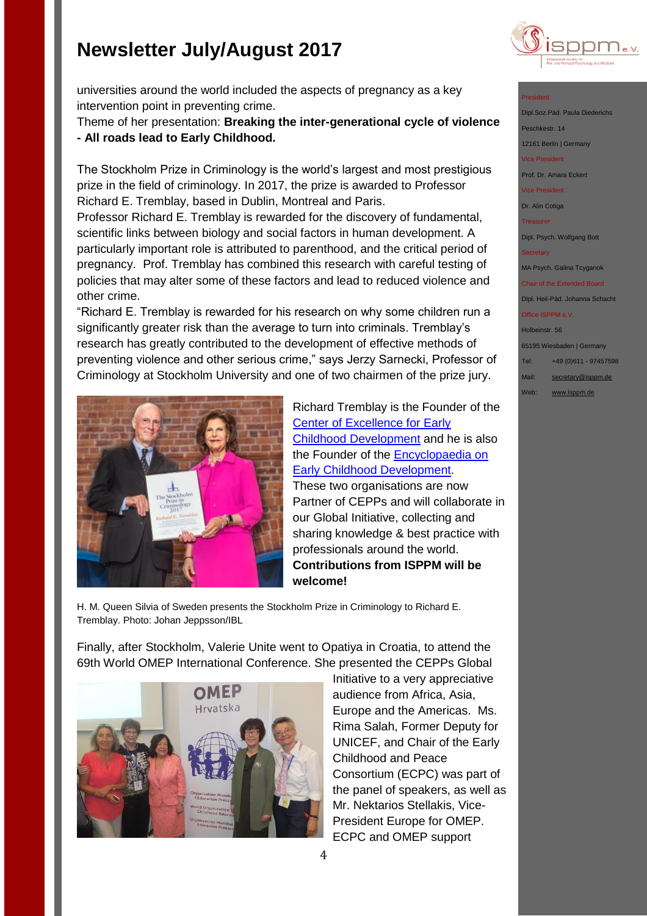

#### President

- Dipl.Soz.Päd. Paula Diederi Peschkestr. 14
- 12161 Berlin | Germany

vice President

Prof. Dr. Amara Eckert

Vice President

Dr. Alin Cotiga

Treasurer

Dipl. Psych. Wolfgang Bott

MA Psych. Galina Tcyganok

Chair of the Extended Board Dipl. Heil-Päd. Johanna Schacht

Office ISPPM e.V.

Holbeinstr. 56

65195 Wiesbaden | Germany

Tel: +49 (0)611 - 97457598

Mail: [secretary@isppm.de](mailto:secretary@isppm.de)

Web: [www.isppm.de](http://www.isppm.de/)

universities around the world included the aspects of pregnancy as a key intervention point in preventing crime.

Theme of her presentation: **Breaking the inter-generational cycle of violence - All roads lead to Early Childhood.**

The Stockholm Prize in Criminology is the world's largest and most prestigious prize in the field of criminology. In 2017, the prize is awarded to Professor Richard E. Tremblay, based in Dublin, Montreal and Paris.

Professor Richard E. Tremblay is rewarded for the discovery of fundamental, scientific links between biology and social factors in human development. A particularly important role is attributed to parenthood, and the critical period of pregnancy. Prof. Tremblay has combined this research with careful testing of policies that may alter some of these factors and lead to reduced violence and other crime.

"Richard E. Tremblay is rewarded for his research on why some children run a significantly greater risk than the average to turn into criminals. Tremblay's research has greatly contributed to the development of effective methods of preventing violence and other serious crime," says Jerzy Sarnecki, Professor of Criminology at Stockholm University and one of two chairmen of the prize jury.



Richard Tremblay is the Founder of the [Center of Excellence for Early](http://www.excellence-earlychildhood.ca/home.asp)  [Childhood Development](http://www.excellence-earlychildhood.ca/home.asp) and he is also the Founder of the [Encyclopaedia on](http://www.child-encyclopedia.com/)  [Early Childhood Development.](http://www.child-encyclopedia.com/) These two organisations are now Partner of CEPPs and will collaborate in our Global Initiative, collecting and sharing knowledge & best practice with professionals around the world. **Contributions from ISPPM will be welcome!**

H. M. Queen Silvia of Sweden presents the Stockholm Prize in Criminology to Richard E. Tremblay. Photo: Johan Jeppsson/IBL

Finally, after Stockholm, Valerie Unite went to Opatiya in Croatia, to attend the 69th World OMEP International Conference. She presented the CEPPs Global



Initiative to a very appreciative audience from Africa, Asia, Europe and the Americas. Ms. Rima Salah, Former Deputy for UNICEF, and Chair of the Early Childhood and Peace Consortium (ECPC) was part of the panel of speakers, as well as Mr. Nektarios Stellakis, Vice-President Europe for OMEP. ECPC and OMEP support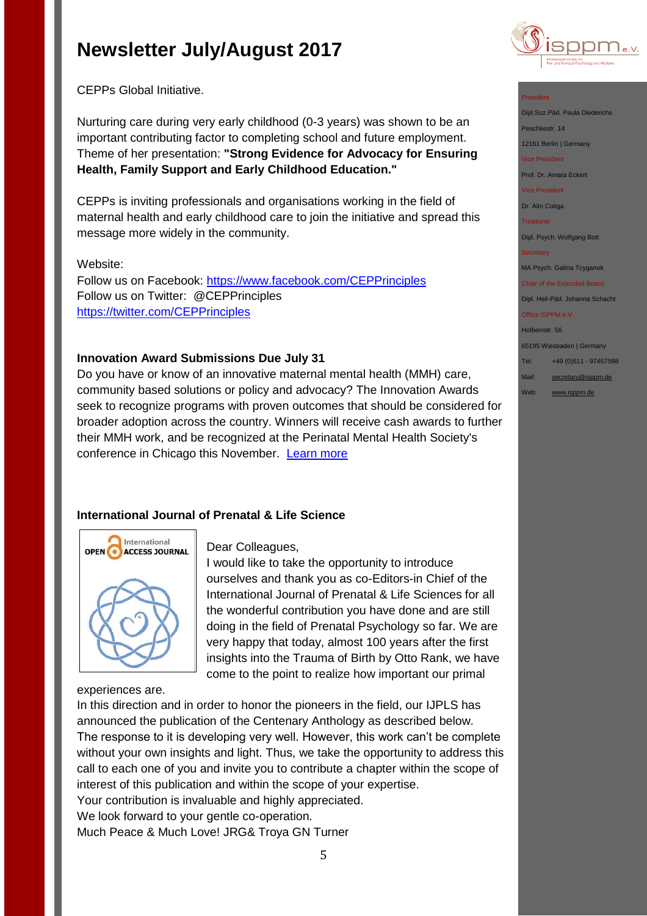

CEPPs Global Initiative.

Nurturing care during very early childhood (0-3 years) was shown to be an important contributing factor to completing school and future employment. Theme of her presentation: **"Strong Evidence for Advocacy for Ensuring Health, Family Support and Early Childhood Education."**

CEPPs is inviting professionals and organisations working in the field of maternal health and early childhood care to join the initiative and spread this message more widely in the community.

## Website:

Follow us on Facebook:<https://www.facebook.com/CEPPrinciples> Follow us on Twitter: @CEPPrinciples <https://twitter.com/CEPPrinciples>

## **Innovation Award Submissions Due July 31**

Do you have or know of an innovative maternal mental health (MMH) care, community based solutions or policy and advocacy? The Innovation Awards seek to recognize programs with proven outcomes that should be considered for broader adoption across the country. Winners will receive cash awards to further their MMH work, and be recognized at the Perinatal Mental Health Society's conference in Chicago this November. [Learn more](http://www.2020mom.org/innovation-awards/?eType=EmailBlastContent&eId=f5db5464-9582-422d-836c-9c540c2ef2ef)

## **International Journal of Prenatal & Life Science**



Dear Colleagues,

I would like to take the opportunity to introduce ourselves and thank you as co-Editors-in Chief of the International Journal of Prenatal & Life Sciences for all the wonderful contribution you have done and are still doing in the field of Prenatal Psychology so far. We are very happy that today, almost 100 years after the first insights into the Trauma of Birth by Otto Rank, we have come to the point to realize how important our primal

experiences are.

In this direction and in order to honor the pioneers in the field, our IJPLS has announced the publication of the Centenary Anthology as described below. The response to it is developing very well. However, this work can't be complete without your own insights and light. Thus, we take the opportunity to address this call to each one of you and invite you to contribute a chapter within the scope of interest of this publication and within the scope of your expertise. Your contribution is invaluable and highly appreciated. We look forward to your gentle co-operation. Much Peace & Much Love! JRG& Troya GN Turner

### President

Dipl.Soz.Päd. Paula Diederichs

Peschkestr, 14

12161 Berlin | Germany

Vice President

Prof. Dr. Amara Eckert

Vice President

Dr. Alin Cotiga

Treasurer

Dipl. Psych. Wolfgang Bott

MA Psych. Galina Tcyganok

Chair of the Extended Board Dipl. Heil-Päd. Johanna Schacht

Office ISPPM e.V.

Holbeinstr. 56

65195 Wiesbaden | Germany

Tel: +49 (0)611 - 97457598

- Mail: [secretary@isppm.de](mailto:secretary@isppm.de)
- Web: [www.isppm.de](http://www.isppm.de/)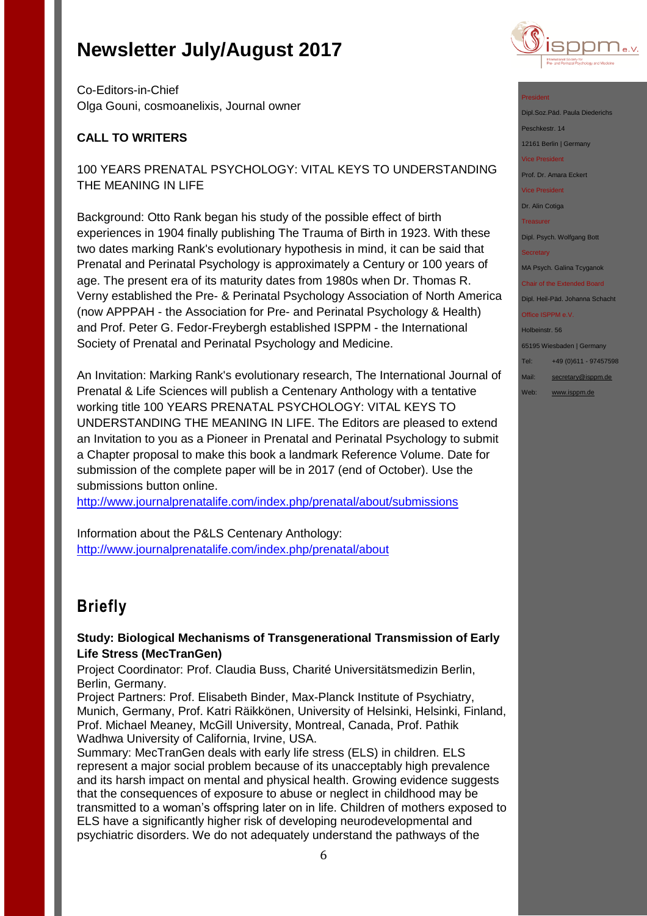

Co-Editors-in-Chief Olga Gouni, cosmoanelixis, Journal owner

## **CALL TO WRITERS**

## 100 YEARS PRENATAL PSYCHOLOGY: VITAL KEYS TO UNDERSTANDING THE MEANING IN LIFE

Background: Otto Rank began his study of the possible effect of birth experiences in 1904 finally publishing The Trauma of Birth in 1923. With these two dates marking Rank's evolutionary hypothesis in mind, it can be said that Prenatal and Perinatal Psychology is approximately a Century or 100 years of age. The present era of its maturity dates from 1980s when Dr. Thomas R. Verny established the Pre- & Perinatal Psychology Association of North America (now APPPAH - the Association for Pre- and Perinatal Psychology & Health) and Prof. Peter G. Fedor-Freybergh established ISPPM - the International Society of Prenatal and Perinatal Psychology and Medicine.

An Invitation: Marking Rank's evolutionary research, The International Journal of Prenatal & Life Sciences will publish a Centenary Anthology with a tentative working title 100 YEARS PRENATAL PSYCHOLOGY: VITAL KEYS TO UNDERSTANDING THE MEANING IN LIFE. The Editors are pleased to extend an Invitation to you as a Pioneer in Prenatal and Perinatal Psychology to submit a Chapter proposal to make this book a landmark Reference Volume. Date for submission of the complete paper will be in 2017 (end of October). Use the submissions button online.

<http://www.journalprenatalife.com/index.php/prenatal/about/submissions>

Information about the P&LS Centenary Anthology: <http://www.journalprenatalife.com/index.php/prenatal/about>

## **Briefly**

## **Study: Biological Mechanisms of Transgenerational Transmission of Early Life Stress (MecTranGen)**

Project Coordinator: Prof. Claudia Buss, Charité Universitätsmedizin Berlin, Berlin, Germany.

Project Partners: Prof. Elisabeth Binder, Max-Planck Institute of Psychiatry, Munich, Germany, Prof. Katri Räikkönen, University of Helsinki, Helsinki, Finland, Prof. Michael Meaney, McGill University, Montreal, Canada, Prof. Pathik Wadhwa University of California, Irvine, USA.

Summary: MecTranGen deals with early life stress (ELS) in children. ELS represent a major social problem because of its unacceptably high prevalence and its harsh impact on mental and physical health. Growing evidence suggests that the consequences of exposure to abuse or neglect in childhood may be transmitted to a woman's offspring later on in life. Children of mothers exposed to ELS have a significantly higher risk of developing neurodevelopmental and psychiatric disorders. We do not adequately understand the pathways of the

### President

Dipl.Soz.Päd. Paula Diederichs eschkestr. 14 12161 Berlin | Germany

vice President<br>Tice President

Prof. Dr. Amara Eckert

Vice President

Dr. Alin Cotiga

Treasurer

Dipl. Psych. Wolfgang Bott

**Secretary** 

MA Psych. Galina Tcyganok

Chair of the Extended Board Dipl. Heil-Päd. Johanna Schacht

Office ISPPM e.V.

Holbeinstr. 56

65195 Wiesbaden | Germany

- Tel: +49 (0)611 97457598 Mail: [secretary@isppm.de](mailto:secretary@isppm.de)
- Web: [www.isppm.de](http://www.isppm.de/)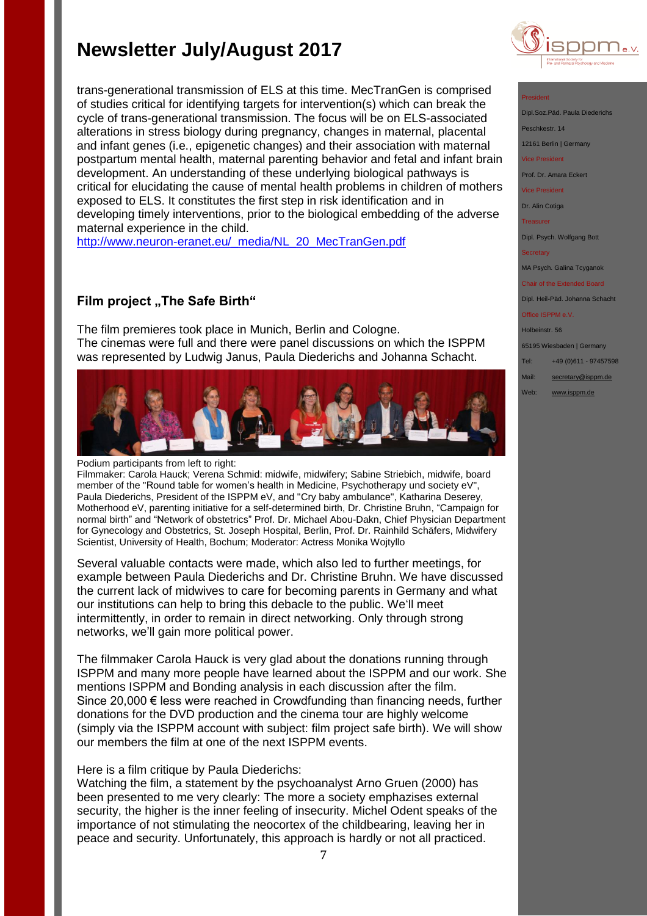trans-generational transmission of ELS at this time. MecTranGen is comprised of studies critical for identifying targets for intervention(s) which can break the cycle of trans-generational transmission. The focus will be on ELS-associated alterations in stress biology during pregnancy, changes in maternal, placental and infant genes (i.e., epigenetic changes) and their association with maternal postpartum mental health, maternal parenting behavior and fetal and infant brain development. An understanding of these underlying biological pathways is critical for elucidating the cause of mental health problems in children of mothers exposed to ELS. It constitutes the first step in risk identification and in developing timely interventions, prior to the biological embedding of the adverse maternal experience in the child.

[http://www.neuron-eranet.eu/\\_media/NL\\_20\\_MecTranGen.pdf](http://www.neuron-eranet.eu/_media/NL_20_MecTranGen.pdf)

## **Film project "The Safe Birth"**

The film premieres took place in Munich, Berlin and Cologne. The cinemas were full and there were panel discussions on which the ISPPM was represented by Ludwig Janus, Paula Diederichs and Johanna Schacht.



Podium participants from left to right:

Filmmaker: Carola Hauck; Verena Schmid: midwife, midwifery; Sabine Striebich, midwife, board member of the "Round table for women's health in Medicine, Psychotherapy und society eV", Paula Diederichs, President of the ISPPM eV, and "Cry baby ambulance", Katharina Deserey, Motherhood eV, parenting initiative for a self-determined birth, Dr. Christine Bruhn, "Campaign for normal birth" and "Network of obstetrics" Prof. Dr. Michael Abou-Dakn, Chief Physician Department for Gynecology and Obstetrics, St. Joseph Hospital, Berlin, Prof. Dr. Rainhild Schäfers, Midwifery Scientist, University of Health, Bochum; Moderator: Actress Monika Wojtyllo

Several valuable contacts were made, which also led to further meetings, for example between Paula Diederichs and Dr. Christine Bruhn. We have discussed the current lack of midwives to care for becoming parents in Germany and what our institutions can help to bring this debacle to the public. We'll meet intermittently, in order to remain in direct networking. Only through strong networks, we'll gain more political power.

The filmmaker Carola Hauck is very glad about the donations running through ISPPM and many more people have learned about the ISPPM and our work. She mentions ISPPM and Bonding analysis in each discussion after the film. Since 20,000 € less were reached in Crowdfunding than financing needs, further donations for the DVD production and the cinema tour are highly welcome (simply via the ISPPM account with subject: film project safe birth). We will show our members the film at one of the next ISPPM events.

### Here is a film critique by Paula Diederichs:

Watching the film, a statement by the psychoanalyst Arno Gruen (2000) has been presented to me very clearly: The more a society emphazises external security, the higher is the inner feeling of insecurity. Michel Odent speaks of the importance of not stimulating the neocortex of the childbearing, leaving her in peace and security. Unfortunately, this approach is hardly or not all practiced.



#### President

Dipl.Soz.Päd. Paula Diederic Peschkestr. 14

12161 Berlin | Germany

vice President<br>Tice President

Prof. Dr. Amara Eckert

Vice President

Dr. Alin Cotiga

Treasurer

Dipl. Psych. Wolfgang Bott

MA Psych. Galina Tcyganok

Chair of the Extended Board Dipl. Heil-Päd. Johanna Schacht

Office ISPPM e.V.

Holbeinstr. 56

65195 Wiesbaden | Germany

Tel: +49 (0)611 - 97457598

Mail: [secretary@isppm.de](mailto:secretary@isppm.de)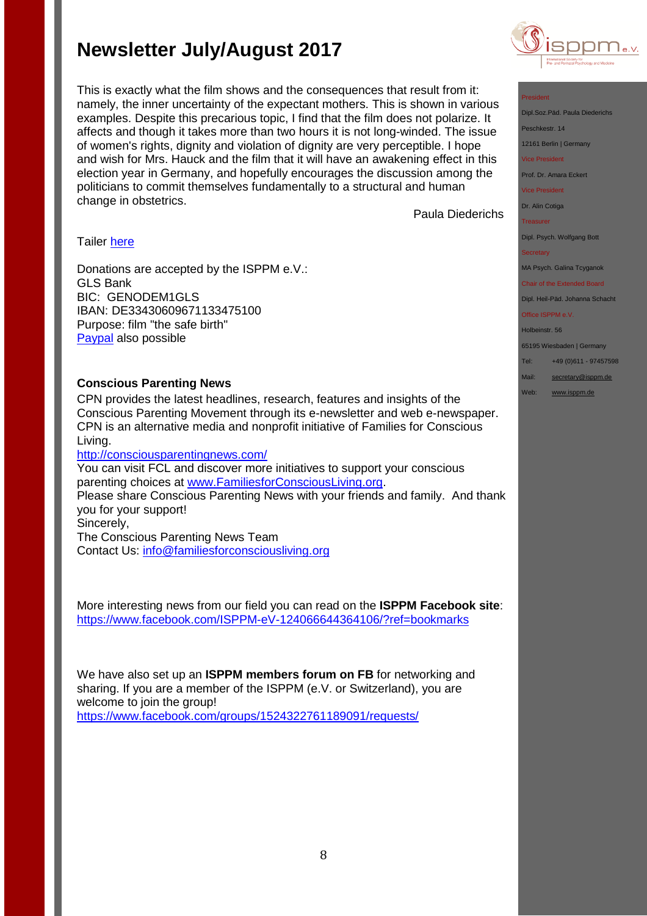This is exactly what the film shows and the consequences that result from it: namely, the inner uncertainty of the expectant mothers. This is shown in various examples. Despite this precarious topic, I find that the film does not polarize. It affects and though it takes more than two hours it is not long-winded. The issue of women's rights, dignity and violation of dignity are very perceptible. I hope and wish for Mrs. Hauck and the film that it will have an awakening effect in this election year in Germany, and hopefully encourages the discussion among the politicians to commit themselves fundamentally to a structural and human change in obstetrics.

Paula Diederichs

## Tailer [here](http://die-sichere-geburt.de/)

Donations are accepted by the ISPPM e.V.: GLS Bank BIC: GENODEM1GLS IBAN: DE33430609671133475100 Purpose: film "the safe birth" **[Paypal](http://www.isppm.de/en/donate/)** also possible

## **Conscious Parenting News**

CPN provides the latest headlines, research, features and insights of the Conscious Parenting Movement through its e-newsletter and web e-newspaper. CPN is an alternative media and nonprofit initiative of Families for Conscious Living.

<http://consciousparentingnews.com/>

You can visit FCL and discover more initiatives to support your conscious parenting choices at [www.FamiliesforConsciousLiving.org.](http://www.familiesforconsciousliving.org/) Please share Conscious Parenting News with your friends and family. And thank you for your support! Sincerely, The Conscious Parenting News Team Contact Us: [info@familiesforconsciousliving.org](mailto:info@familiesforconsciousliving.org)

More interesting news from our field you can read on the **ISPPM Facebook site**: <https://www.facebook.com/ISPPM-eV-124066644364106/?ref=bookmarks>

We have also set up an **ISPPM members forum on FB** for networking and sharing. If you are a member of the ISPPM (e.V. or Switzerland), you are welcome to join the group!

<https://www.facebook.com/groups/1524322761189091/requests/>



### President

Dipl.Soz.Päd. Paula Diederichs

Peschkestr. 14

12161 Berlin | Germany

Vice President

Prof. Dr. Amara Eckert

Vice President

Dr. Alin Cotiga

Treasurer

Dipl. Psych. Wolfgang Bott

#### **Secretary**

MA Psych. Galina Tcyganok

Chair of the Extended Board

Dipl. Heil-Päd. Johanna Schacht Office ISPPM e.V.

## Holbeinstr. 56

65195 Wiesbaden | Germany

Tel: +49 (0)611 - 97457598

Mail: [secretary@isppm.de](mailto:secretary@isppm.de)

Web: [www.isppm.de](http://www.isppm.de/)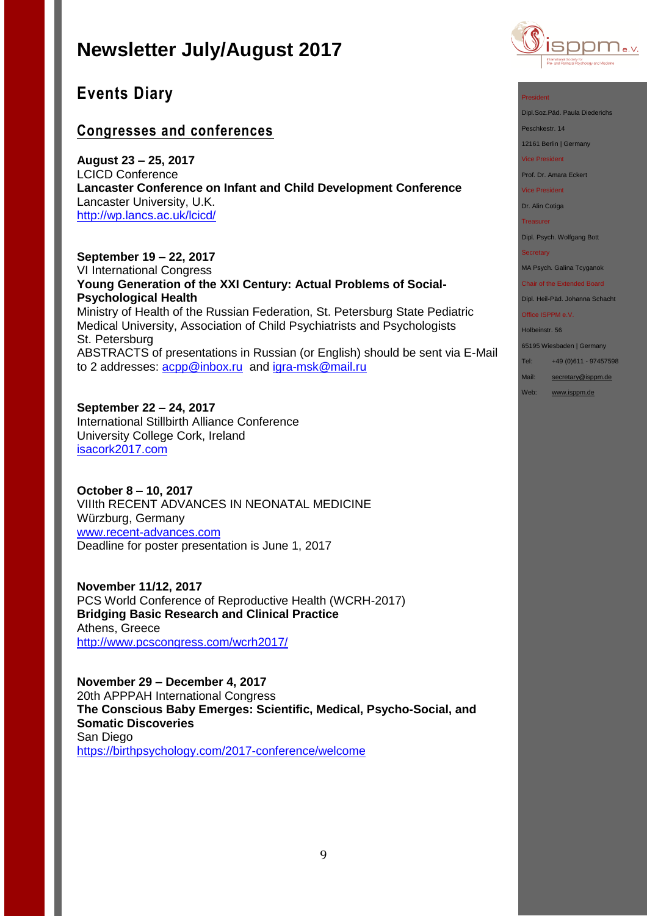

## **Events Diary**

## **Congresses and conferences**

**August 23 – 25, 2017** LCICD Conference **Lancaster Conference on Infant and Child Development Conference** Lancaster University, U.K. <http://wp.lancs.ac.uk/lcicd/>

**September 19 – 22, 2017**

VI International Congress **Young Generation of the XXI Century: Actual Problems of Social-Psychological Health** Ministry of Health of the Russian Federation, St. Petersburg State Pediatric Medical University, Association of Child Psychiatrists and Psychologists St. Petersburg ABSTRACTS of presentations in Russian (or English) should be sent via E-Mail to 2 addresses: [acpp@inbox.ru](mailto:acpp@inbox.ru) and [igra-msk@mail.ru](mailto:igra-msk@mail.ru)

**September 22 – 24, 2017** International Stillbirth Alliance Conference University College Cork, Ireland [isacork2017.com](http://stillbirthalliance.us6.list-manage.com/track/click?u=811549f73d7f344e10a813f47&id=ca40d537d4&e=19741be71a)

**October 8 – 10, 2017** VIIIth RECENT ADVANCES IN NEONATAL MEDICINE Würzburg, Germany [www.recent-advances.com](http://www.recent-advances.com/) Deadline for poster presentation is June 1, 2017

**November 11/12, 2017**  PCS World Conference of Reproductive Health (WCRH-2017) **Bridging Basic Research and Clinical Practice** Athens, Greece <http://www.pcscongress.com/wcrh2017/>

**November 29 – December 4, 2017** 20th APPPAH International Congress **The Conscious Baby Emerges: Scientific, Medical, Psycho-Social, and Somatic Discoveries** San Diego <https://birthpsychology.com/2017-conference/welcome>

#### President

Dipl.Soz.Päd. Paula Diederichs

Peschkestr. 14

12161 Berlin | Germany

Vice President

Prof. Dr. Amara Eckert

Vice President

Dr. Alin Cotiga

**Treasurer** 

Dipl. Psych. Wolfgang Bott

**Secretary** 

MA Psych. Galina Tcyganok

Chair of the Extended Board Dipl. Heil-Päd. Johanna Schacht

Office ISPPM e.V.

Holbeinstr. 56

65195 Wiesbaden | Germany

Tel: +49 (0)611 - 97457598

Mail: [secretary@isppm.de](mailto:secretary@isppm.de)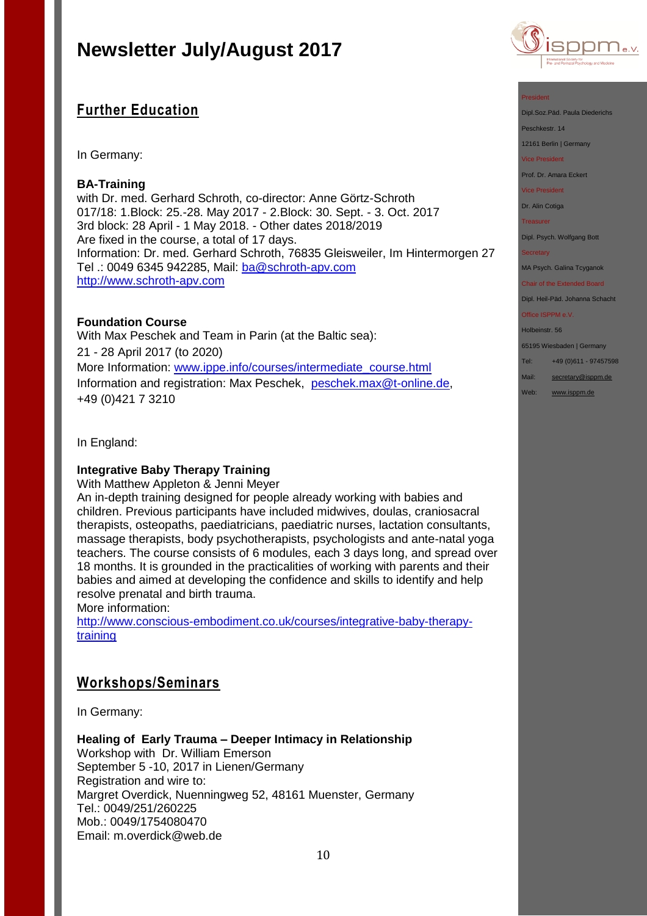## **Further Education**

In Germany:

## **BA-Training**

with Dr. med. Gerhard Schroth, co-director: Anne Görtz-Schroth 017/18: 1.Block: 25.-28. May 2017 - 2.Block: 30. Sept. - 3. Oct. 2017 3rd block: 28 April - 1 May 2018. - Other dates 2018/2019 Are fixed in the course, a total of 17 days. Information: Dr. med. Gerhard Schroth, 76835 Gleisweiler, Im Hintermorgen 27 Tel .: 0049 6345 942285, Mail: [ba@schroth-apv.com](mailto:ba@schroth-apv.com) [http://www.schroth-apv.com](http://www.schroth-apv.com/)

### **Foundation Course**

With Max Peschek and Team in Parin (at the Baltic sea): 21 - 28 April 2017 (to 2020) More Information: [www.ippe.info/courses/intermediate\\_course.html](../Google%20Drive/isppm/ISPPM%20e.V/Rundbriefe/www.ippe.info/courses/intermediate_course.html) Information and registration: Max Peschek, [peschek.max@t-online.de,](mailto:peschek.max@t-online.de) +49 (0)421 7 3210

In England:

## **Integrative Baby Therapy Training**

With Matthew Appleton & Jenni Meyer

An in-depth training designed for people already working with babies and children. Previous participants have included midwives, doulas, craniosacral therapists, osteopaths, paediatricians, paediatric nurses, lactation consultants, massage therapists, body psychotherapists, psychologists and ante-natal yoga teachers. The course consists of 6 modules, each 3 days long, and spread over 18 months. It is grounded in the practicalities of working with parents and their babies and aimed at developing the confidence and skills to identify and help resolve prenatal and birth trauma.

More information:

[http://www.conscious-embodiment.co.uk/courses/integrative-baby-therapy](http://www.conscious-embodiment.co.uk/courses/integrative-baby-therapy-training)[training](http://www.conscious-embodiment.co.uk/courses/integrative-baby-therapy-training)

## **Workshops/Seminars**

In Germany:

### **Healing of Early Trauma – Deeper Intimacy in Relationship**

Workshop with Dr. William Emerson September 5 -10, 2017 in Lienen/Germany Registration and wire to: Margret Overdick, Nuenningweg 52, 48161 Muenster, Germany Tel.: 0049/251/260225 Mob.: 0049/1754080470 Email: m.overdick@web.de



#### President

Dipl.Soz.Päd. Paula Diederichs

Peschkestr. 14

12161 Berlin | Germany

Vice President

Prof. Dr. Amara Eckert

Vice President

Dr. Alin Cotiga

**Treasurer** 

Dipl. Psych. Wolfgang Bott

#### **Secretary**

MA Psych. Galina Tcyganok

Chair of the Extended Board

Dipl. Heil-Päd. Johanna Schacht Office ISPPM e.V.

#### Holbeinstr. 56

65195 Wiesbaden | Germany

Tel: +49 (0)611 - 97457598

Mail: [secretary@isppm.de](mailto:secretary@isppm.de)

Web: [www.isppm.de](http://www.isppm.de/)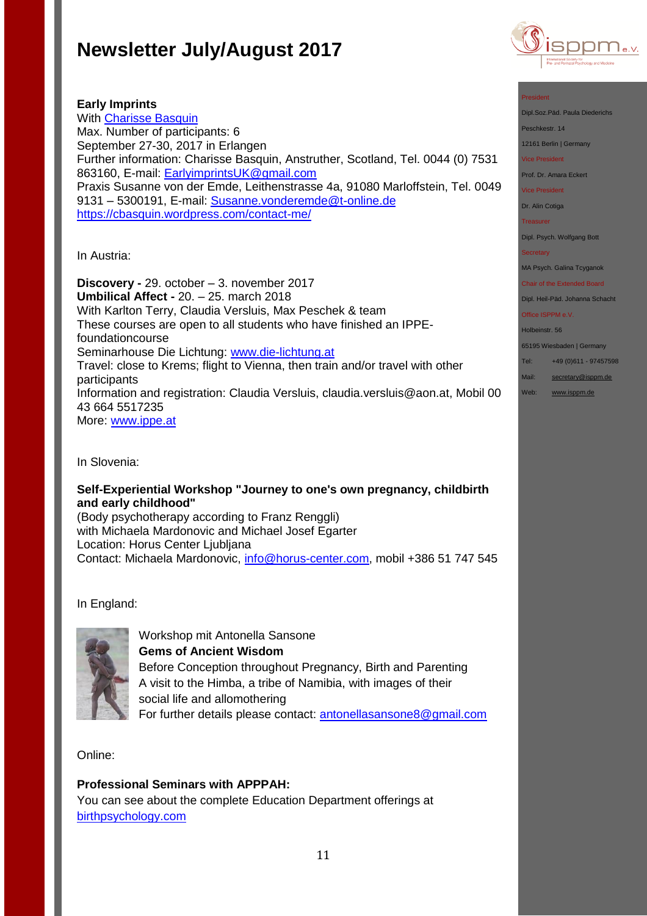

### President

Dipl.Soz.Päd. Paula Diederichs

Peschkestr. 14

12161 Berlin | Germany

Vice President

Prof. Dr. Amara Eckert

Vice President

Dr. Alin Cotiga

Treasurer

Dipl. Psych. Wolfgang Bott

**Secretary** 

MA Psych. Galina Tcyganok

Chair of the Extended Board Dipl. Heil-Päd. Johanna Schacht

Office ISPPM e.V.

Holbeinstr. 56

65195 Wiesbaden | Germany

Tel: +49 (0)611 - 97457598

Mail: [secretary@isppm.de](mailto:secretary@isppm.de)

Web: [www.isppm.de](http://www.isppm.de/)

**Early Imprints** With [Charisse Basquin](https://cbasquin.wordpress.com/) Max. Number of participants: 6 September 27-30, 2017 in Erlangen Further information: Charisse Basquin, Anstruther, Scotland, Tel. 0044 (0) 7531 863160, E-mail: [EarlyimprintsUK@gmail.com](mailto:EarlyimprintsUK@gmail.com) Praxis Susanne von der Emde, Leithenstrasse 4a, 91080 Marloffstein, Tel. 0049 9131 - 5300191, E-mail: [Susanne.vonderemde@t-online.de](mailto:Susanne.vonderemde@t-online.de) <https://cbasquin.wordpress.com/contact-me/>

In Austria:

**Discovery -** 29. october – 3. november 2017 **Umbilical Affect -** 20. – 25. march 2018 With Karlton Terry, Claudia Versluis, Max Peschek & team These courses are open to all students who have finished an IPPEfoundationcourse Seminarhouse Die Lichtung: [www.die-lichtung.at](http://www.die-lichtung.at/) Travel: close to Krems; flight to Vienna, then train and/or travel with other participants Information and registration: Claudia Versluis, claudia.versluis@aon.at, Mobil 00 43 664 5517235 More: [www.ippe.at](http://www.ippe.at/)

In Slovenia:

## **Self-Experiential Workshop "Journey to one's own pregnancy, childbirth and early childhood"**

(Body psychotherapy according to Franz Renggli) with Michaela Mardonovic and Michael Josef Egarter Location: Horus Center Ljubljana Contact: Michaela Mardonovic, [info@horus-center.com,](mailto:info@horus-center.com) mobil +386 51 747 545

In England:



Workshop mit Antonella Sansone **Gems of Ancient Wisdom** Before Conception throughout Pregnancy, Birth and Parenting A visit to the Himba, a tribe of Namibia, with images of their social life and allomothering For further details please contact: [antonellasansone8@gmail.com](mailto:antonellasansone8@gmail.com) 

Online:

**Professional Seminars with APPPAH:** You can see about the complete Education Department offerings at [birthpsychology.com](http://birthpsychology.com/)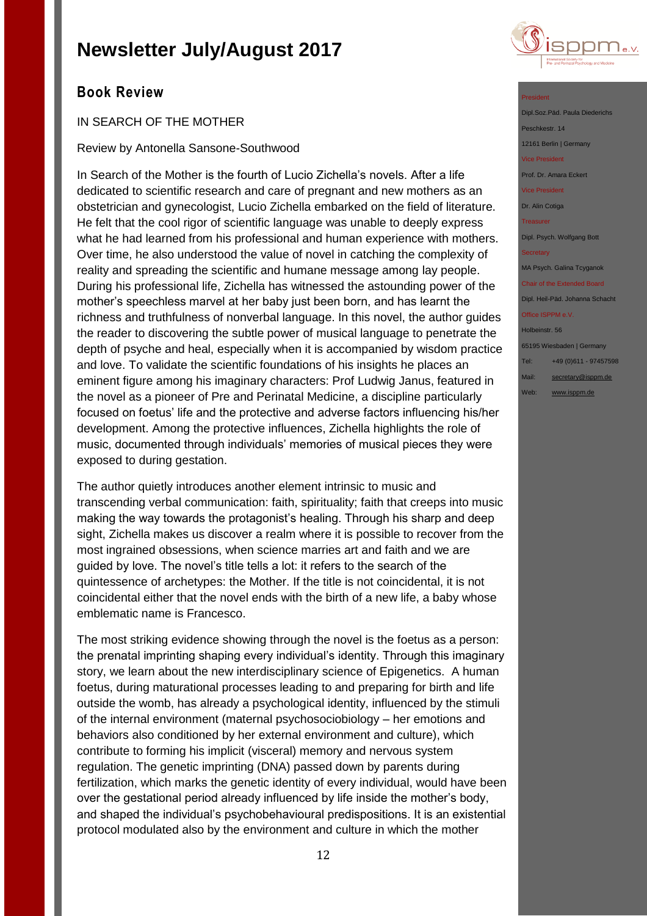

## **Book Review**

## IN SEARCH OF THE MOTHER

## Review by Antonella Sansone-Southwood

In Search of the Mother is the fourth of Lucio Zichella's novels. After a life dedicated to scientific research and care of pregnant and new mothers as an obstetrician and gynecologist, Lucio Zichella embarked on the field of literature. He felt that the cool rigor of scientific language was unable to deeply express what he had learned from his professional and human experience with mothers. Over time, he also understood the value of novel in catching the complexity of reality and spreading the scientific and humane message among lay people. During his professional life, Zichella has witnessed the astounding power of the mother's speechless marvel at her baby just been born, and has learnt the richness and truthfulness of nonverbal language. In this novel, the author guides the reader to discovering the subtle power of musical language to penetrate the depth of psyche and heal, especially when it is accompanied by wisdom practice and love. To validate the scientific foundations of his insights he places an eminent figure among his imaginary characters: Prof Ludwig Janus, featured in the novel as a pioneer of Pre and Perinatal Medicine, a discipline particularly focused on foetus' life and the protective and adverse factors influencing his/her development. Among the protective influences, Zichella highlights the role of music, documented through individuals' memories of musical pieces they were exposed to during gestation.

The author quietly introduces another element intrinsic to music and transcending verbal communication: faith, spirituality; faith that creeps into music making the way towards the protagonist's healing. Through his sharp and deep sight, Zichella makes us discover a realm where it is possible to recover from the most ingrained obsessions, when science marries art and faith and we are guided by love. The novel's title tells a lot: it refers to the search of the quintessence of archetypes: the Mother. If the title is not coincidental, it is not coincidental either that the novel ends with the birth of a new life, a baby whose emblematic name is Francesco.

The most striking evidence showing through the novel is the foetus as a person: the prenatal imprinting shaping every individual's identity. Through this imaginary story, we learn about the new interdisciplinary science of Epigenetics. A human foetus, during maturational processes leading to and preparing for birth and life outside the womb, has already a psychological identity, influenced by the stimuli of the internal environment (maternal psychosociobiology – her emotions and behaviors also conditioned by her external environment and culture), which contribute to forming his implicit (visceral) memory and nervous system regulation. The genetic imprinting (DNA) passed down by parents during fertilization, which marks the genetic identity of every individual, would have been over the gestational period already influenced by life inside the mother's body, and shaped the individual's psychobehavioural predispositions. It is an existential protocol modulated also by the environment and culture in which the mother

#### President

Dipl.Soz.Päd. Paula Diederichs Peschkestr. 14 12161 Berlin | Germany

Vice President

Prof. Dr. Amara Eckert

Vice President

Dr. Alin Cotiga

Treasurer

Dipl. Psych. Wolfgang Bott

#### **Secretary**

MA Psych. Galina Tcyganok

Chair of the Extended Board Dipl. Heil-Päd. Johanna Schacht Office ISPPM e.V.

## Holbeinstr. 56

65195 Wiesbaden | Germany

Tel: +49 (0)611 - 97457598

Mail: [secretary@isppm.de](mailto:secretary@isppm.de)

Web: [www.isppm.de](http://www.isppm.de/)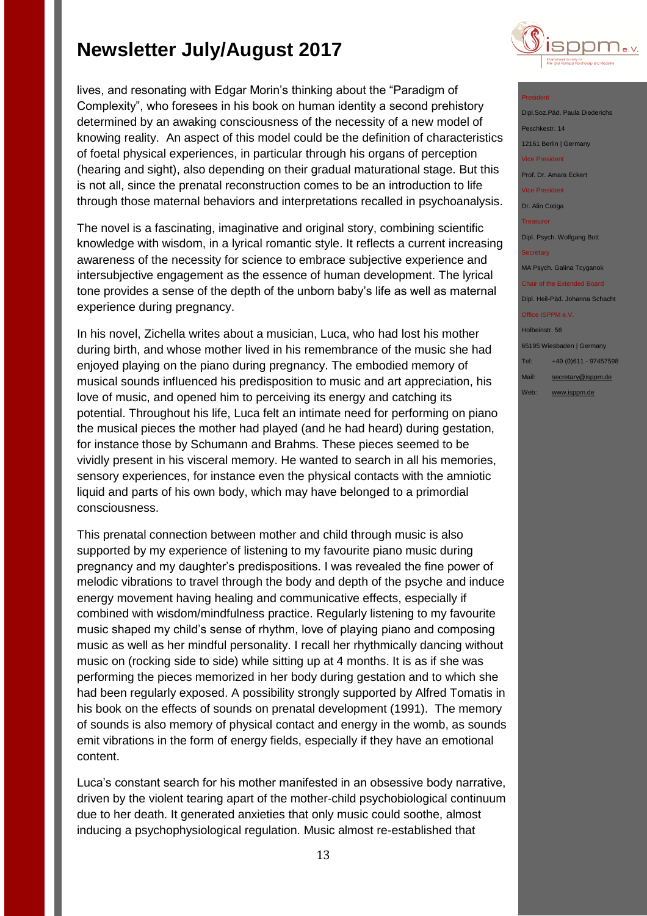lives, and resonating with Edgar Morin's thinking about the "Paradigm of Complexity", who foresees in his book on human identity a second prehistory determined by an awaking consciousness of the necessity of a new model of knowing reality. An aspect of this model could be the definition of characteristics of foetal physical experiences, in particular through his organs of perception (hearing and sight), also depending on their gradual maturational stage. But this is not all, since the prenatal reconstruction comes to be an introduction to life through those maternal behaviors and interpretations recalled in psychoanalysis.

The novel is a fascinating, imaginative and original story, combining scientific knowledge with wisdom, in a lyrical romantic style. It reflects a current increasing awareness of the necessity for science to embrace subjective experience and intersubjective engagement as the essence of human development. The lyrical tone provides a sense of the depth of the unborn baby's life as well as maternal experience during pregnancy.

In his novel, Zichella writes about a musician, Luca, who had lost his mother during birth, and whose mother lived in his remembrance of the music she had enjoyed playing on the piano during pregnancy. The embodied memory of musical sounds influenced his predisposition to music and art appreciation, his love of music, and opened him to perceiving its energy and catching its potential. Throughout his life, Luca felt an intimate need for performing on piano the musical pieces the mother had played (and he had heard) during gestation, for instance those by Schumann and Brahms. These pieces seemed to be vividly present in his visceral memory. He wanted to search in all his memories, sensory experiences, for instance even the physical contacts with the amniotic liquid and parts of his own body, which may have belonged to a primordial consciousness.

This prenatal connection between mother and child through music is also supported by my experience of listening to my favourite piano music during pregnancy and my daughter's predispositions. I was revealed the fine power of melodic vibrations to travel through the body and depth of the psyche and induce energy movement having healing and communicative effects, especially if combined with wisdom/mindfulness practice. Regularly listening to my favourite music shaped my child's sense of rhythm, love of playing piano and composing music as well as her mindful personality. I recall her rhythmically dancing without music on (rocking side to side) while sitting up at 4 months. It is as if she was performing the pieces memorized in her body during gestation and to which she had been regularly exposed. A possibility strongly supported by Alfred Tomatis in his book on the effects of sounds on prenatal development (1991). The memory of sounds is also memory of physical contact and energy in the womb, as sounds emit vibrations in the form of energy fields, especially if they have an emotional content.

Luca's constant search for his mother manifested in an obsessive body narrative, driven by the violent tearing apart of the mother-child psychobiological continuum due to her death. It generated anxieties that only music could soothe, almost inducing a psychophysiological regulation. Music almost re-established that



### President

Dipl.Soz.Päd. Paula Diederichs Peschkestr. 14 12161 Berlin | Germany vice President Prof. Dr. Amara Eckert Vice President Dr. Alin Cotiga Treasurer Dipl. Psych. Wolfgang Bott MA Psych. Galina Tcyganok Chair of the Extended Board Dipl. Heil-Päd. Johanna Schacht

Office ISPPM e.V.

Holbeinstr. 56 65195 Wiesbaden | Germany Tel: +49 (0)611 - 97457598 Mail: [secretary@isppm.de](mailto:secretary@isppm.de)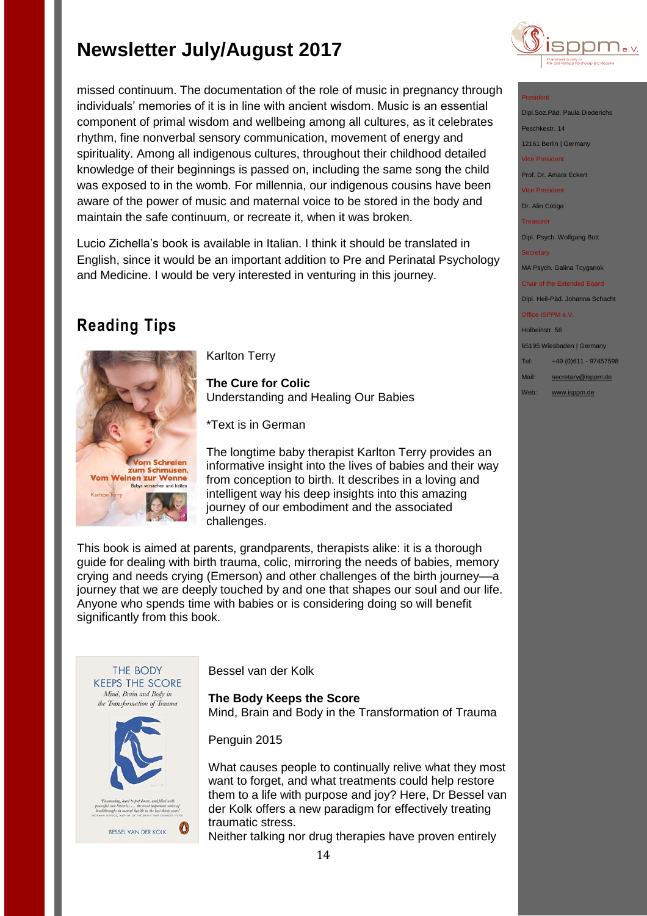missed continuum. The documentation of the role of music in pregnancy through individuals' memories of it is in line with ancient wisdom. Music is an essential component of primal wisdom and wellbeing among all cultures, as it celebrates rhythm, fine nonverbal sensory communication, movement of energy and spirituality. Among all indigenous cultures, throughout their childhood detailed knowledge of their beginnings is passed on, including the same song the child was exposed to in the womb. For millennia, our indigenous cousins have been aware of the power of music and maternal voice to be stored in the body and maintain the safe continuum, or recreate it, when it was broken.

Lucio Zichella's book is available in Italian. I think it should be translated in English, since it would be an important addition to Pre and Perinatal Psychology and Medicine. I would be very interested in venturing in this journey.

## **Reading Tips**



Karlton Terry

**The Cure for Colic** Understanding and Healing Our Babies

\*Text is in German

The longtime baby therapist Karlton Terry provides an informative insight into the lives of babies and their way from conception to birth. It describes in a loving and intelligent way his deep insights into this amazing journey of our embodiment and the associated challenges.

This book is aimed at parents, grandparents, therapists alike: it is a thorough guide for dealing with birth trauma, colic, mirroring the needs of babies, memory crying and needs crying (Emerson) and other challenges of the birth journey––a journey that we are deeply touched by and one that shapes our soul and our life. Anyone who spends time with babies or is considering doing so will benefit significantly from this book.



Bessel van der Kolk

**The Body Keeps the Score** Mind, Brain and Body in the Transformation of Trauma

Penguin 2015

What causes people to continually relive what they most want to forget, and what treatments could help restore them to a life with purpose and joy? Here, Dr Bessel van der Kolk offers a new paradigm for effectively treating traumatic stress.

Neither talking nor drug therapies have proven entirely



### President

Dipl.Soz.Päd. Paula Diederichs Peschkestr. 14 12161 Berlin | Germany Vice President

Prof. Dr. Amara Eckert

Vice President

Dr. Alin Cotiga

Treasurer

Dipl. Psych. Wolfgang Bott

MA Psych. Galina Tcyganok

Chair of the Extended Board Dipl. Heil-Päd. Johanna Schacht

### Office ISPPM e.V.

Holbeinstr. 56 65195 Wiesbaden | Germany

Tel: +49 (0)611 - 97457598

Mail: [secretary@isppm.de](mailto:secretary@isppm.de)